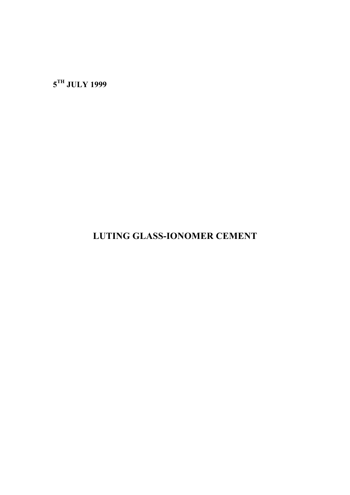**5TH JULY 1999**

**LUTING GLASS-IONOMER CEMENT**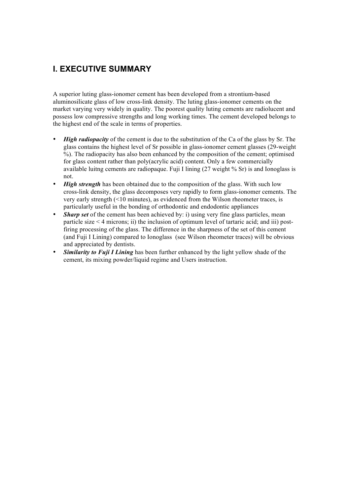## **I. EXECUTIVE SUMMARY**

A superior luting glass-ionomer cement has been developed from a strontium-based aluminosilicate glass of low cross-link density. The luting glass-ionomer cements on the market varying very widely in quality. The poorest quality luting cements are radiolucent and possess low compressive strengths and long working times. The cement developed belongs to the highest end of the scale in terms of properties.

- *High radiopacity* of the cement is due to the substitution of the Ca of the glass by Sr. The glass contains the highest level of Sr possible in glass-ionomer cement glasses (29-weight %). The radiopacity has also been enhanced by the composition of the cement; optimised for glass content rather than poly(acrylic acid) content. Only a few commercially available luitng cements are radiopaque. Fuji I lining (27 weight % Sr) is and Ionoglass is not.
- *High strength* has been obtained due to the composition of the glass. With such low cross-link density, the glass decomposes very rapidly to form glass-ionomer cements. The very early strength (<10 minutes), as evidenced from the Wilson rheometer traces, is particularly useful in the bonding of orthodontic and endodontic appliances
- *Sharp set* of the cement has been achieved by: i) using very fine glass particles, mean particle size < 4 microns; ii) the inclusion of optimum level of tartaric acid; and iii) postfiring processing of the glass. The difference in the sharpness of the set of this cement (and Fuji I Lining) compared to Ionoglass (see Wilson rheometer traces) will be obvious and appreciated by dentists.
- *Similarity to Fuji I Lining* has been further enhanced by the light yellow shade of the cement, its mixing powder/liquid regime and Users instruction.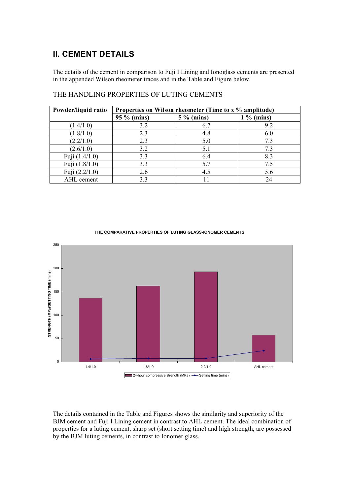# **II. CEMENT DETAILS**

The details of the cement in comparison to Fuji I Lining and Ionoglass cements are presented in the appended Wilson rheometer traces and in the Table and Figure below.

| Powder/liquid ratio | Properties on Wilson rheometer (Time to x % amplitude) |              |              |
|---------------------|--------------------------------------------------------|--------------|--------------|
|                     | $95 \%$ (mins)                                         | $5\%$ (mins) | $1\%$ (mins) |
| (1.4/1.0)           | 3.2                                                    | 6.7          | 9.2          |
| (1.8/1.0)           | 2.3                                                    | 4.8          | 6.0          |
| (2.2/1.0)           | 2.3                                                    | 5.0          | 7.3          |
| (2.6/1.0)           | 3.2                                                    | 5.1          | 73           |
| Fuji (1.4/1.0)      | 3.3                                                    | 6.4          | 8.3          |
| Fuji (1.8/1.0)      | 3.3                                                    | 5.7          | 7.5          |
| Fuji (2.2/1.0)      | 2.6                                                    | 4.5          | 5.6          |
| AHL cement          | 3.3                                                    |              | 24           |

### THE HANDLING PROPERTIES OF LUTING CEMENTS



#### **THE COMPARATIVE PROPERTIES OF LUTING GLASS-IONOMER CEMENTS**

The details contained in the Table and Figures shows the similarity and superiority of the BJM cement and Fuji I Lining cement in contrast to AHL cement. The ideal combination of properties for a luting cement, sharp set (short setting time) and high strength, are possessed by the BJM luting cements, in contrast to Ionomer glass.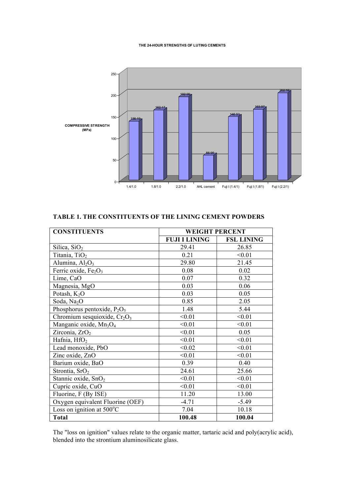#### **THE 24-HOUR STRENGTHS OF LUTING CEMENTS**



### **TABLE 1. THE CONSTITUENTS OF THE LINING CEMENT POWDERS**

| <b>CONSTITUENTS</b>                            | <b>WEIGHT PERCENT</b> |                   |
|------------------------------------------------|-----------------------|-------------------|
|                                                | <b>FUJI I LINING</b>  | <b>FSL LINING</b> |
| Silica, SiO <sub>2</sub>                       | 29.41                 | 26.85             |
| Titania, TiO <sub>2</sub>                      | 0.21                  | < 0.01            |
| Alumina, $Al_2O_3$                             | 29.80                 | 21.45             |
| Ferric oxide, Fe <sub>2</sub> O <sub>3</sub>   | 0.08                  | 0.02              |
| Lime, CaO                                      | 0.07                  | 0.32              |
| Magnesia, MgO                                  | 0.03                  | 0.06              |
| Potash, $K_2O$                                 | 0.03                  | 0.05              |
| Soda, Na <sub>2</sub> O                        | 0.85                  | 2.05              |
| Phosphorus pentoxide, $P_2O_5$                 | 1.48                  | 5.44              |
| Chromium sesquioxide, $Cr2O3$                  | < 0.01                | < 0.01            |
| Manganic oxide, Mn <sub>3</sub> O <sub>4</sub> | < 0.01                | < 0.01            |
| Zirconia, ZrO <sub>2</sub>                     | < 0.01                | 0.05              |
| Hafnia, HfO <sub>2</sub>                       | < 0.01                | < 0.01            |
| Lead monoxide, PbO                             | < 0.02                | < 0.01            |
| Zinc oxide, ZnO                                | < 0.01                | < 0.01            |
| Barium oxide, BaO                              | 0.39                  | 0.40              |
| Strontia, SrO <sub>2</sub>                     | 24.61                 | 25.66             |
| Stannic oxide, SnO <sub>2</sub>                | < 0.01                | < 0.01            |
| Cupric oxide, CuO                              | < 0.01                | < 0.01            |
| Fluorine, F (By ISE)                           | 11.20                 | 13.00             |
| Oxygen equivalent Fluorine (OEF)               | $-4.71$               | $-5.49$           |
| Loss on ignition at 500°C                      | 7.04                  | 10.18             |
| <b>Total</b>                                   | 100.48                | 100.04            |

The "loss on ignition" values relate to the organic matter, tartaric acid and poly(acrylic acid), blended into the strontium aluminosilicate glass.